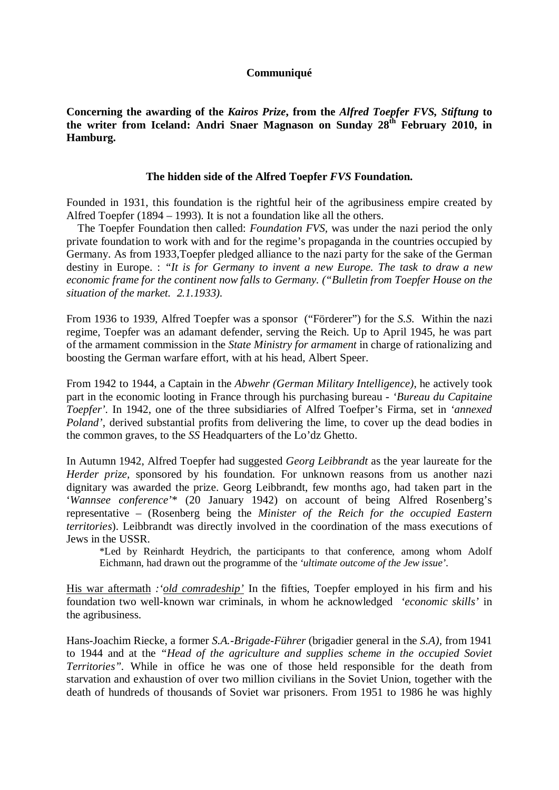## **Communiqué**

**Concerning the awarding of the** *Kairos Prize***, from the** *Alfred Toepfer FVS, Stiftung* **to the writer from Iceland: Andri Snaer Magnason on Sunday 28th February 2010, in Hamburg.** 

## **The hidden side of the Alfred Toepfer** *FVS* **Foundation.**

Founded in 1931, this foundation is the rightful heir of the agribusiness empire created by Alfred Toepfer (1894 – 1993). It is not a foundation like all the others.

 The Toepfer Foundation then called: *Foundation FVS,* was under the nazi period the only private foundation to work with and for the regime's propaganda in the countries occupied by Germany. As from 1933,Toepfer pledged alliance to the nazi party for the sake of the German destiny in Europe. : *"It is for Germany to invent a new Europe. The task to draw a new economic frame for the continent now falls to Germany. ("Bulletin from Toepfer House on the situation of the market. 2.1.1933).* 

From 1936 to 1939, Alfred Toepfer was a sponsor ("Förderer") for the *S.S.* Within the nazi regime, Toepfer was an adamant defender, serving the Reich. Up to April 1945, he was part of the armament commission in the *State Ministry for armament* in charge of rationalizing and boosting the German warfare effort, with at his head, Albert Speer.

From 1942 to 1944, a Captain in the *Abwehr (German Military Intelligence)*, he actively took part in the economic looting in France through his purchasing bureau - *'Bureau du Capitaine Toepfer'.* In 1942, one of the three subsidiaries of Alfred Toefper's Firma, set in *'annexed Poland'*, derived substantial profits from delivering the lime, to cover up the dead bodies in the common graves, to the *SS* Headquarters of the Lo'dz Ghetto.

In Autumn 1942, Alfred Toepfer had suggested *Georg Leibbrandt* as the year laureate for the *Herder prize,* sponsored by his foundation. For unknown reasons from us another nazi dignitary was awarded the prize. Georg Leibbrandt, few months ago, had taken part in the '*Wannsee conference'*\* (20 January 1942) on account of being Alfred Rosenberg's representative – (Rosenberg being the *Minister of the Reich for the occupied Eastern territories*). Leibbrandt was directly involved in the coordination of the mass executions of Jews in the USSR.

\*Led by Reinhardt Heydrich, the participants to that conference, among whom Adolf Eichmann, had drawn out the programme of the *'ultimate outcome of the Jew issue'*.

His war aftermath *:'old comradeship'* In the fifties, Toepfer employed in his firm and his foundation two well-known war criminals, in whom he acknowledged *'economic skills'* in the agribusiness.

Hans-Joachim Riecke, a former *S.A.-Brigade-Führer* (brigadier general in the *S.A),* from 1941 to 1944 and at the *"Head of the agriculture and supplies scheme in the occupied Soviet Territories".* While in office he was one of those held responsible for the death from starvation and exhaustion of over two million civilians in the Soviet Union, together with the death of hundreds of thousands of Soviet war prisoners. From 1951 to 1986 he was highly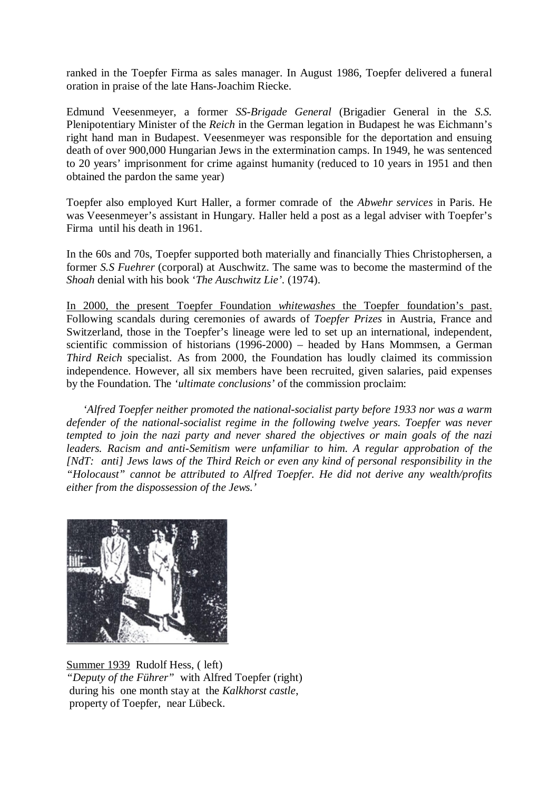ranked in the Toepfer Firma as sales manager. In August 1986, Toepfer delivered a funeral oration in praise of the late Hans-Joachim Riecke.

Edmund Veesenmeyer, a former *SS-Brigade General* (Brigadier General in the *S.S.*  Plenipotentiary Minister of the *Reich* in the German legation in Budapest he was Eichmann's right hand man in Budapest. Veesenmeyer was responsible for the deportation and ensuing death of over 900,000 Hungarian Jews in the extermination camps. In 1949, he was sentenced to 20 years' imprisonment for crime against humanity (reduced to 10 years in 1951 and then obtained the pardon the same year)

Toepfer also employed Kurt Haller, a former comrade of the *Abwehr services* in Paris. He was Veesenmeyer's assistant in Hungary. Haller held a post as a legal adviser with Toepfer's Firma until his death in 1961.

In the 60s and 70s, Toepfer supported both materially and financially Thies Christophersen, a former *S.S Fuehrer* (corporal) at Auschwitz. The same was to become the mastermind of the *Shoah* denial with his book '*The Auschwitz Lie'.* (1974).

In 2000, the present Toepfer Foundation *whitewashes* the Toepfer foundation's past. Following scandals during ceremonies of awards of *Toepfer Prizes* in Austria, France and Switzerland, those in the Toepfer's lineage were led to set up an international, independent, scientific commission of historians (1996-2000) – headed by Hans Mommsen, a German *Third Reich* specialist. As from 2000, the Foundation has loudly claimed its commission independence. However, all six members have been recruited, given salaries, paid expenses by the Foundation. The *'ultimate conclusions'* of the commission proclaim:

 *'Alfred Toepfer neither promoted the national-socialist party before 1933 nor was a warm defender of the national-socialist regime in the following twelve years. Toepfer was never tempted to join the nazi party and never shared the objectives or main goals of the nazi leaders. Racism and anti-Semitism were unfamiliar to him. A regular approbation of the [NdT: anti] Jews laws of the Third Reich or even any kind of personal responsibility in the "Holocaust" cannot be attributed to Alfred Toepfer. He did not derive any wealth/profits either from the dispossession of the Jews.'* 



Summer 1939 Rudolf Hess, ( left) *"Deputy of the Führer"* with Alfred Toepfer (right) during his one month stay at the *Kalkhorst castle*, property of Toepfer, near Lübeck.